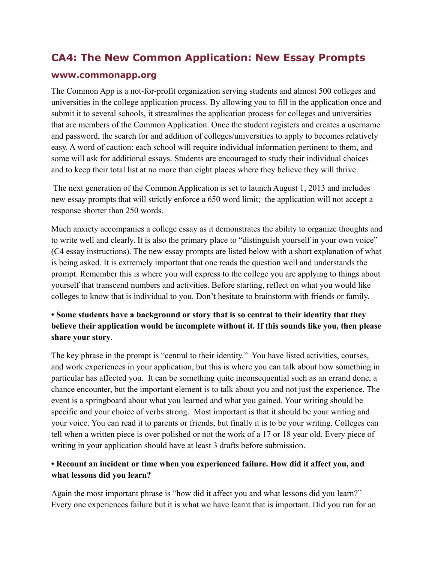# **CA4: The New Common Application: New Essay Prompts**

#### **www.commonapp.org**

The Common App is a not-for-profit organization serving students and almost 500 colleges and universities in the college application process. By allowing you to fill in the application once and submit it to several schools, it streamlines the application process for colleges and universities that are members of the Common Application. Once the student registers and creates a username and password, the search for and addition of colleges/universities to apply to becomes relatively easy. A word of caution: each school will require individual information pertinent to them, and some will ask for additional essays. Students are encouraged to study their individual choices and to keep their total list at no more than eight places where they believe they will thrive.

 The next generation of the Common Application is set to launch August 1, 2013 and includes new essay prompts that will strictly enforce a 650 word limit; the application will not accept a response shorter than 250 words.

Much anxiety accompanies a college essay as it demonstrates the ability to organize thoughts and to write well and clearly. It is also the primary place to "distinguish yourself in your own voice" (C4 essay instructions). The new essay prompts are listed below with a short explanation of what is being asked. It is extremely important that one reads the question well and understands the prompt. Remember this is where you will express to the college you are applying to things about yourself that transcend numbers and activities. Before starting, reflect on what you would like colleges to know that is individual to you. Don't hesitate to brainstorm with friends or family.

# **• Some students have a background or story that is so central to their identity that they believe their application would be incomplete without it. If this sounds like you, then please share your story**.

The key phrase in the prompt is "central to their identity." You have listed activities, courses, and work experiences in your application, but this is where you can talk about how something in particular has affected you. It can be something quite inconsequential such as an errand done, a chance encounter, but the important element is to talk about you and not just the experience. The event is a springboard about what you learned and what you gained. Your writing should be specific and your choice of verbs strong. Most important is that it should be your writing and your voice. You can read it to parents or friends, but finally it is to be your writing. Colleges can tell when a written piece is over polished or not the work of a 17 or 18 year old. Every piece of writing in your application should have at least 3 drafts before submission.

### **• Recount an incident or time when you experienced failure. How did it affect you, and what lessons did you learn?**

Again the most important phrase is "how did it affect you and what lessons did you learn?" Every one experiences failure but it is what we have learnt that is important. Did you run for an